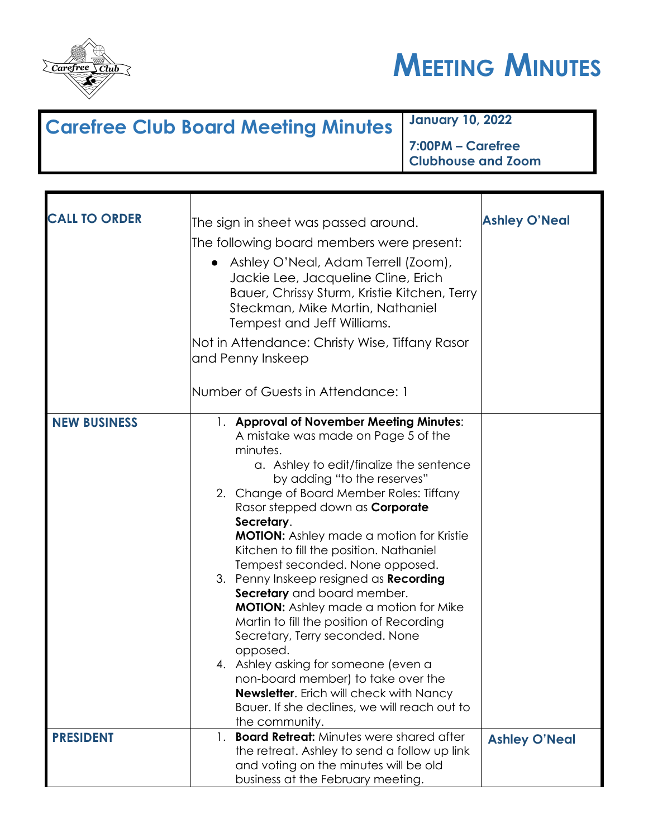



## **Carefree Club Board Meeting Minutes January 10, 2022**

**7:00PM – Carefree Clubhouse and Zoom**

| <b>CALL TO ORDER</b> | The sign in sheet was passed around.<br>The following board members were present:<br>Ashley O'Neal, Adam Terrell (Zoom),<br>Jackie Lee, Jacqueline Cline, Erich<br>Bauer, Chrissy Sturm, Kristie Kitchen, Terry<br>Steckman, Mike Martin, Nathaniel<br>Tempest and Jeff Williams.<br>Not in Attendance: Christy Wise, Tiffany Rasor<br>and Penny Inskeep                                                                                                                                                                                                                                                                                                                                                                                                                                                                         | <b>Ashley O'Neal</b> |
|----------------------|----------------------------------------------------------------------------------------------------------------------------------------------------------------------------------------------------------------------------------------------------------------------------------------------------------------------------------------------------------------------------------------------------------------------------------------------------------------------------------------------------------------------------------------------------------------------------------------------------------------------------------------------------------------------------------------------------------------------------------------------------------------------------------------------------------------------------------|----------------------|
|                      | Number of Guests in Attendance: 1                                                                                                                                                                                                                                                                                                                                                                                                                                                                                                                                                                                                                                                                                                                                                                                                |                      |
| <b>NEW BUSINESS</b>  | 1. Approval of November Meeting Minutes:<br>A mistake was made on Page 5 of the<br>minutes.<br>a. Ashley to edit/finalize the sentence<br>by adding "to the reserves"<br>2. Change of Board Member Roles: Tiffany<br>Rasor stepped down as <b>Corporate</b><br>Secretary.<br><b>MOTION:</b> Ashley made a motion for Kristie<br>Kitchen to fill the position. Nathaniel<br>Tempest seconded. None opposed.<br>3. Penny Inskeep resigned as Recording<br>Secretary and board member.<br><b>MOTION:</b> Ashley made a motion for Mike<br>Martin to fill the position of Recording<br>Secretary, Terry seconded. None<br>opposed.<br>4. Ashley asking for someone (even a<br>non-board member) to take over the<br><b>Newsletter.</b> Erich will check with Nancy<br>Bauer. If she declines, we will reach out to<br>the community. |                      |
| <b>PRESIDENT</b>     | 1. Board Retreat: Minutes were shared after<br>the retreat. Ashley to send a follow up link<br>and voting on the minutes will be old                                                                                                                                                                                                                                                                                                                                                                                                                                                                                                                                                                                                                                                                                             | <b>Ashley O'Neal</b> |
|                      | business at the February meeting.                                                                                                                                                                                                                                                                                                                                                                                                                                                                                                                                                                                                                                                                                                                                                                                                |                      |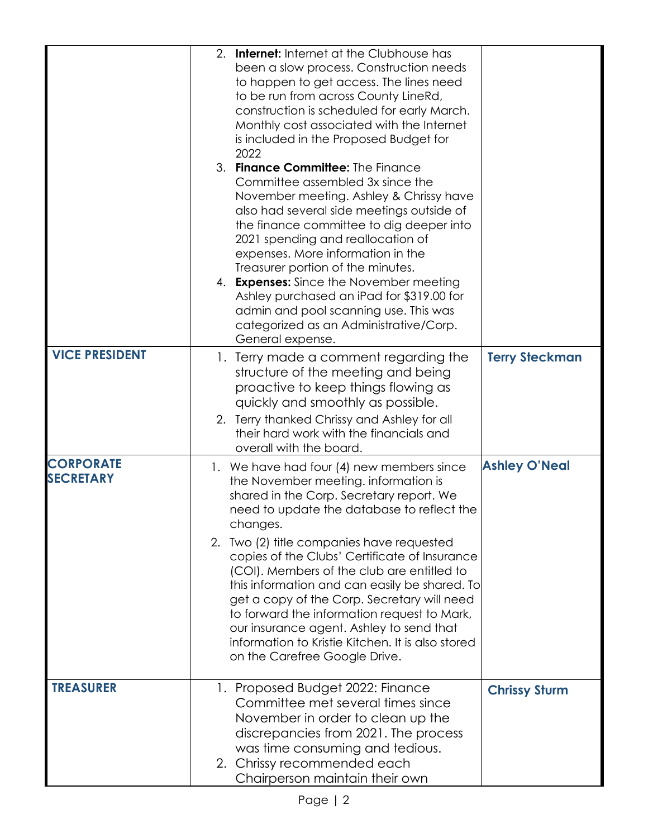|                                      | <b>Internet:</b> Internet at the Clubhouse has<br>2.<br>been a slow process. Construction needs<br>to happen to get access. The lines need<br>to be run from across County LineRd,<br>construction is scheduled for early March.<br>Monthly cost associated with the Internet<br>is included in the Proposed Budget for<br>2022<br>3. Finance Committee: The Finance<br>Committee assembled 3x since the<br>November meeting. Ashley & Chrissy have<br>also had several side meetings outside of<br>the finance committee to dig deeper into<br>2021 spending and reallocation of<br>expenses. More information in the<br>Treasurer portion of the minutes.<br>4. <b>Expenses:</b> Since the November meeting<br>Ashley purchased an iPad for \$319.00 for<br>admin and pool scanning use. This was<br>categorized as an Administrative/Corp.<br>General expense. |                       |
|--------------------------------------|-------------------------------------------------------------------------------------------------------------------------------------------------------------------------------------------------------------------------------------------------------------------------------------------------------------------------------------------------------------------------------------------------------------------------------------------------------------------------------------------------------------------------------------------------------------------------------------------------------------------------------------------------------------------------------------------------------------------------------------------------------------------------------------------------------------------------------------------------------------------|-----------------------|
| <b>VICE PRESIDENT</b>                | 1. Terry made a comment regarding the<br>structure of the meeting and being<br>proactive to keep things flowing as<br>quickly and smoothly as possible.<br>2. Terry thanked Chrissy and Ashley for all<br>their hard work with the financials and<br>overall with the board.                                                                                                                                                                                                                                                                                                                                                                                                                                                                                                                                                                                      | <b>Terry Steckman</b> |
| <b>CORPORATE</b><br><b>SECRETARY</b> | 1. We have had four (4) new members since<br>the November meeting. information is<br>shared in the Corp. Secretary report. We<br>need to update the database to reflect the<br>changes.<br>2. Two (2) title companies have requested<br>copies of the Clubs' Certificate of Insurance<br>(COI). Members of the club are entitled to<br>this information and can easily be shared. To<br>get a copy of the Corp. Secretary will need<br>to forward the information request to Mark,<br>our insurance agent. Ashley to send that<br>information to Kristie Kitchen. It is also stored<br>on the Carefree Google Drive.                                                                                                                                                                                                                                              | <b>Ashley O'Neal</b>  |
| <b>TREASURER</b>                     | 1. Proposed Budget 2022: Finance<br>Committee met several times since<br>November in order to clean up the<br>discrepancies from 2021. The process<br>was time consuming and tedious.<br>2. Chrissy recommended each<br>Chairperson maintain their own                                                                                                                                                                                                                                                                                                                                                                                                                                                                                                                                                                                                            | <b>Chrissy Sturm</b>  |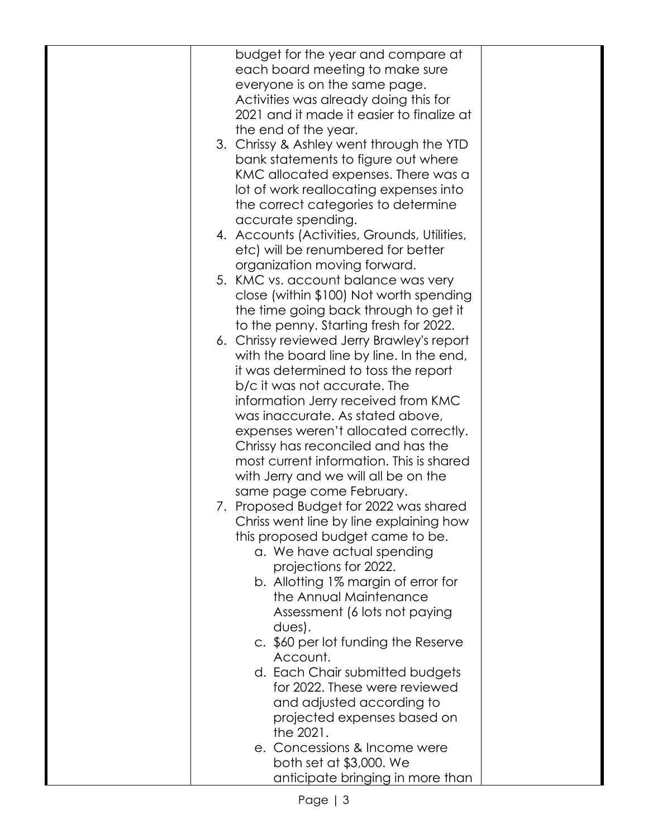| budget for the year and compare at<br>each board meeting to make sure<br>everyone is on the same page.<br>Activities was already doing this for<br>2021 and it made it easier to finalize at<br>the end of the year.<br>3. Chrissy & Ashley went through the YTD<br>bank statements to figure out where<br>KMC allocated expenses. There was a<br>lot of work reallocating expenses into<br>the correct categories to determine<br>accurate spending.<br>4. Accounts (Activities, Grounds, Utilities,<br>etc) will be renumbered for better<br>organization moving forward.<br>5. KMC vs. account balance was very<br>close (within \$100) Not worth spending<br>the time going back through to get it<br>to the penny. Starting fresh for 2022.<br>6. Chrissy reviewed Jerry Brawley's report<br>with the board line by line. In the end,<br>it was determined to toss the report<br>b/c it was not accurate. The<br>information Jerry received from KMC<br>was inaccurate. As stated above,<br>expenses weren't allocated correctly.<br>Chrissy has reconciled and has the<br>most current information. This is shared<br>with Jerry and we will all be on the<br>same page come February.<br>7. Proposed Budget for 2022 was shared<br>Chriss went line by line explaining how<br>this proposed budget came to be.<br>a. We have actual spending<br>projections for 2022.<br>b. Allotting 1% margin of error for<br>the Annual Maintenance<br>Assessment (6 lots not paying<br>$dues$ ).<br>c. \$60 per lot funding the Reserve<br>Account.<br>d. Each Chair submitted budgets<br>for 2022. These were reviewed<br>and adjusted according to<br>projected expenses based on<br>the 2021.<br>e. Concessions & Income were<br>both set at \$3,000. We<br>anticipate bringing in more than |  |  |
|--------------------------------------------------------------------------------------------------------------------------------------------------------------------------------------------------------------------------------------------------------------------------------------------------------------------------------------------------------------------------------------------------------------------------------------------------------------------------------------------------------------------------------------------------------------------------------------------------------------------------------------------------------------------------------------------------------------------------------------------------------------------------------------------------------------------------------------------------------------------------------------------------------------------------------------------------------------------------------------------------------------------------------------------------------------------------------------------------------------------------------------------------------------------------------------------------------------------------------------------------------------------------------------------------------------------------------------------------------------------------------------------------------------------------------------------------------------------------------------------------------------------------------------------------------------------------------------------------------------------------------------------------------------------------------------------------------------------------------------------------------------------------------------------|--|--|
|                                                                                                                                                                                                                                                                                                                                                                                                                                                                                                                                                                                                                                                                                                                                                                                                                                                                                                                                                                                                                                                                                                                                                                                                                                                                                                                                                                                                                                                                                                                                                                                                                                                                                                                                                                                            |  |  |
|                                                                                                                                                                                                                                                                                                                                                                                                                                                                                                                                                                                                                                                                                                                                                                                                                                                                                                                                                                                                                                                                                                                                                                                                                                                                                                                                                                                                                                                                                                                                                                                                                                                                                                                                                                                            |  |  |
|                                                                                                                                                                                                                                                                                                                                                                                                                                                                                                                                                                                                                                                                                                                                                                                                                                                                                                                                                                                                                                                                                                                                                                                                                                                                                                                                                                                                                                                                                                                                                                                                                                                                                                                                                                                            |  |  |
|                                                                                                                                                                                                                                                                                                                                                                                                                                                                                                                                                                                                                                                                                                                                                                                                                                                                                                                                                                                                                                                                                                                                                                                                                                                                                                                                                                                                                                                                                                                                                                                                                                                                                                                                                                                            |  |  |
|                                                                                                                                                                                                                                                                                                                                                                                                                                                                                                                                                                                                                                                                                                                                                                                                                                                                                                                                                                                                                                                                                                                                                                                                                                                                                                                                                                                                                                                                                                                                                                                                                                                                                                                                                                                            |  |  |
|                                                                                                                                                                                                                                                                                                                                                                                                                                                                                                                                                                                                                                                                                                                                                                                                                                                                                                                                                                                                                                                                                                                                                                                                                                                                                                                                                                                                                                                                                                                                                                                                                                                                                                                                                                                            |  |  |
|                                                                                                                                                                                                                                                                                                                                                                                                                                                                                                                                                                                                                                                                                                                                                                                                                                                                                                                                                                                                                                                                                                                                                                                                                                                                                                                                                                                                                                                                                                                                                                                                                                                                                                                                                                                            |  |  |
|                                                                                                                                                                                                                                                                                                                                                                                                                                                                                                                                                                                                                                                                                                                                                                                                                                                                                                                                                                                                                                                                                                                                                                                                                                                                                                                                                                                                                                                                                                                                                                                                                                                                                                                                                                                            |  |  |
|                                                                                                                                                                                                                                                                                                                                                                                                                                                                                                                                                                                                                                                                                                                                                                                                                                                                                                                                                                                                                                                                                                                                                                                                                                                                                                                                                                                                                                                                                                                                                                                                                                                                                                                                                                                            |  |  |
|                                                                                                                                                                                                                                                                                                                                                                                                                                                                                                                                                                                                                                                                                                                                                                                                                                                                                                                                                                                                                                                                                                                                                                                                                                                                                                                                                                                                                                                                                                                                                                                                                                                                                                                                                                                            |  |  |
|                                                                                                                                                                                                                                                                                                                                                                                                                                                                                                                                                                                                                                                                                                                                                                                                                                                                                                                                                                                                                                                                                                                                                                                                                                                                                                                                                                                                                                                                                                                                                                                                                                                                                                                                                                                            |  |  |
|                                                                                                                                                                                                                                                                                                                                                                                                                                                                                                                                                                                                                                                                                                                                                                                                                                                                                                                                                                                                                                                                                                                                                                                                                                                                                                                                                                                                                                                                                                                                                                                                                                                                                                                                                                                            |  |  |
|                                                                                                                                                                                                                                                                                                                                                                                                                                                                                                                                                                                                                                                                                                                                                                                                                                                                                                                                                                                                                                                                                                                                                                                                                                                                                                                                                                                                                                                                                                                                                                                                                                                                                                                                                                                            |  |  |
|                                                                                                                                                                                                                                                                                                                                                                                                                                                                                                                                                                                                                                                                                                                                                                                                                                                                                                                                                                                                                                                                                                                                                                                                                                                                                                                                                                                                                                                                                                                                                                                                                                                                                                                                                                                            |  |  |
|                                                                                                                                                                                                                                                                                                                                                                                                                                                                                                                                                                                                                                                                                                                                                                                                                                                                                                                                                                                                                                                                                                                                                                                                                                                                                                                                                                                                                                                                                                                                                                                                                                                                                                                                                                                            |  |  |
|                                                                                                                                                                                                                                                                                                                                                                                                                                                                                                                                                                                                                                                                                                                                                                                                                                                                                                                                                                                                                                                                                                                                                                                                                                                                                                                                                                                                                                                                                                                                                                                                                                                                                                                                                                                            |  |  |
|                                                                                                                                                                                                                                                                                                                                                                                                                                                                                                                                                                                                                                                                                                                                                                                                                                                                                                                                                                                                                                                                                                                                                                                                                                                                                                                                                                                                                                                                                                                                                                                                                                                                                                                                                                                            |  |  |
|                                                                                                                                                                                                                                                                                                                                                                                                                                                                                                                                                                                                                                                                                                                                                                                                                                                                                                                                                                                                                                                                                                                                                                                                                                                                                                                                                                                                                                                                                                                                                                                                                                                                                                                                                                                            |  |  |
|                                                                                                                                                                                                                                                                                                                                                                                                                                                                                                                                                                                                                                                                                                                                                                                                                                                                                                                                                                                                                                                                                                                                                                                                                                                                                                                                                                                                                                                                                                                                                                                                                                                                                                                                                                                            |  |  |
|                                                                                                                                                                                                                                                                                                                                                                                                                                                                                                                                                                                                                                                                                                                                                                                                                                                                                                                                                                                                                                                                                                                                                                                                                                                                                                                                                                                                                                                                                                                                                                                                                                                                                                                                                                                            |  |  |
|                                                                                                                                                                                                                                                                                                                                                                                                                                                                                                                                                                                                                                                                                                                                                                                                                                                                                                                                                                                                                                                                                                                                                                                                                                                                                                                                                                                                                                                                                                                                                                                                                                                                                                                                                                                            |  |  |
|                                                                                                                                                                                                                                                                                                                                                                                                                                                                                                                                                                                                                                                                                                                                                                                                                                                                                                                                                                                                                                                                                                                                                                                                                                                                                                                                                                                                                                                                                                                                                                                                                                                                                                                                                                                            |  |  |
|                                                                                                                                                                                                                                                                                                                                                                                                                                                                                                                                                                                                                                                                                                                                                                                                                                                                                                                                                                                                                                                                                                                                                                                                                                                                                                                                                                                                                                                                                                                                                                                                                                                                                                                                                                                            |  |  |
|                                                                                                                                                                                                                                                                                                                                                                                                                                                                                                                                                                                                                                                                                                                                                                                                                                                                                                                                                                                                                                                                                                                                                                                                                                                                                                                                                                                                                                                                                                                                                                                                                                                                                                                                                                                            |  |  |
|                                                                                                                                                                                                                                                                                                                                                                                                                                                                                                                                                                                                                                                                                                                                                                                                                                                                                                                                                                                                                                                                                                                                                                                                                                                                                                                                                                                                                                                                                                                                                                                                                                                                                                                                                                                            |  |  |
|                                                                                                                                                                                                                                                                                                                                                                                                                                                                                                                                                                                                                                                                                                                                                                                                                                                                                                                                                                                                                                                                                                                                                                                                                                                                                                                                                                                                                                                                                                                                                                                                                                                                                                                                                                                            |  |  |
|                                                                                                                                                                                                                                                                                                                                                                                                                                                                                                                                                                                                                                                                                                                                                                                                                                                                                                                                                                                                                                                                                                                                                                                                                                                                                                                                                                                                                                                                                                                                                                                                                                                                                                                                                                                            |  |  |
|                                                                                                                                                                                                                                                                                                                                                                                                                                                                                                                                                                                                                                                                                                                                                                                                                                                                                                                                                                                                                                                                                                                                                                                                                                                                                                                                                                                                                                                                                                                                                                                                                                                                                                                                                                                            |  |  |
|                                                                                                                                                                                                                                                                                                                                                                                                                                                                                                                                                                                                                                                                                                                                                                                                                                                                                                                                                                                                                                                                                                                                                                                                                                                                                                                                                                                                                                                                                                                                                                                                                                                                                                                                                                                            |  |  |
|                                                                                                                                                                                                                                                                                                                                                                                                                                                                                                                                                                                                                                                                                                                                                                                                                                                                                                                                                                                                                                                                                                                                                                                                                                                                                                                                                                                                                                                                                                                                                                                                                                                                                                                                                                                            |  |  |
|                                                                                                                                                                                                                                                                                                                                                                                                                                                                                                                                                                                                                                                                                                                                                                                                                                                                                                                                                                                                                                                                                                                                                                                                                                                                                                                                                                                                                                                                                                                                                                                                                                                                                                                                                                                            |  |  |
|                                                                                                                                                                                                                                                                                                                                                                                                                                                                                                                                                                                                                                                                                                                                                                                                                                                                                                                                                                                                                                                                                                                                                                                                                                                                                                                                                                                                                                                                                                                                                                                                                                                                                                                                                                                            |  |  |
|                                                                                                                                                                                                                                                                                                                                                                                                                                                                                                                                                                                                                                                                                                                                                                                                                                                                                                                                                                                                                                                                                                                                                                                                                                                                                                                                                                                                                                                                                                                                                                                                                                                                                                                                                                                            |  |  |
|                                                                                                                                                                                                                                                                                                                                                                                                                                                                                                                                                                                                                                                                                                                                                                                                                                                                                                                                                                                                                                                                                                                                                                                                                                                                                                                                                                                                                                                                                                                                                                                                                                                                                                                                                                                            |  |  |
|                                                                                                                                                                                                                                                                                                                                                                                                                                                                                                                                                                                                                                                                                                                                                                                                                                                                                                                                                                                                                                                                                                                                                                                                                                                                                                                                                                                                                                                                                                                                                                                                                                                                                                                                                                                            |  |  |
|                                                                                                                                                                                                                                                                                                                                                                                                                                                                                                                                                                                                                                                                                                                                                                                                                                                                                                                                                                                                                                                                                                                                                                                                                                                                                                                                                                                                                                                                                                                                                                                                                                                                                                                                                                                            |  |  |
|                                                                                                                                                                                                                                                                                                                                                                                                                                                                                                                                                                                                                                                                                                                                                                                                                                                                                                                                                                                                                                                                                                                                                                                                                                                                                                                                                                                                                                                                                                                                                                                                                                                                                                                                                                                            |  |  |
|                                                                                                                                                                                                                                                                                                                                                                                                                                                                                                                                                                                                                                                                                                                                                                                                                                                                                                                                                                                                                                                                                                                                                                                                                                                                                                                                                                                                                                                                                                                                                                                                                                                                                                                                                                                            |  |  |
|                                                                                                                                                                                                                                                                                                                                                                                                                                                                                                                                                                                                                                                                                                                                                                                                                                                                                                                                                                                                                                                                                                                                                                                                                                                                                                                                                                                                                                                                                                                                                                                                                                                                                                                                                                                            |  |  |
|                                                                                                                                                                                                                                                                                                                                                                                                                                                                                                                                                                                                                                                                                                                                                                                                                                                                                                                                                                                                                                                                                                                                                                                                                                                                                                                                                                                                                                                                                                                                                                                                                                                                                                                                                                                            |  |  |
|                                                                                                                                                                                                                                                                                                                                                                                                                                                                                                                                                                                                                                                                                                                                                                                                                                                                                                                                                                                                                                                                                                                                                                                                                                                                                                                                                                                                                                                                                                                                                                                                                                                                                                                                                                                            |  |  |
|                                                                                                                                                                                                                                                                                                                                                                                                                                                                                                                                                                                                                                                                                                                                                                                                                                                                                                                                                                                                                                                                                                                                                                                                                                                                                                                                                                                                                                                                                                                                                                                                                                                                                                                                                                                            |  |  |
|                                                                                                                                                                                                                                                                                                                                                                                                                                                                                                                                                                                                                                                                                                                                                                                                                                                                                                                                                                                                                                                                                                                                                                                                                                                                                                                                                                                                                                                                                                                                                                                                                                                                                                                                                                                            |  |  |
|                                                                                                                                                                                                                                                                                                                                                                                                                                                                                                                                                                                                                                                                                                                                                                                                                                                                                                                                                                                                                                                                                                                                                                                                                                                                                                                                                                                                                                                                                                                                                                                                                                                                                                                                                                                            |  |  |
|                                                                                                                                                                                                                                                                                                                                                                                                                                                                                                                                                                                                                                                                                                                                                                                                                                                                                                                                                                                                                                                                                                                                                                                                                                                                                                                                                                                                                                                                                                                                                                                                                                                                                                                                                                                            |  |  |
|                                                                                                                                                                                                                                                                                                                                                                                                                                                                                                                                                                                                                                                                                                                                                                                                                                                                                                                                                                                                                                                                                                                                                                                                                                                                                                                                                                                                                                                                                                                                                                                                                                                                                                                                                                                            |  |  |
|                                                                                                                                                                                                                                                                                                                                                                                                                                                                                                                                                                                                                                                                                                                                                                                                                                                                                                                                                                                                                                                                                                                                                                                                                                                                                                                                                                                                                                                                                                                                                                                                                                                                                                                                                                                            |  |  |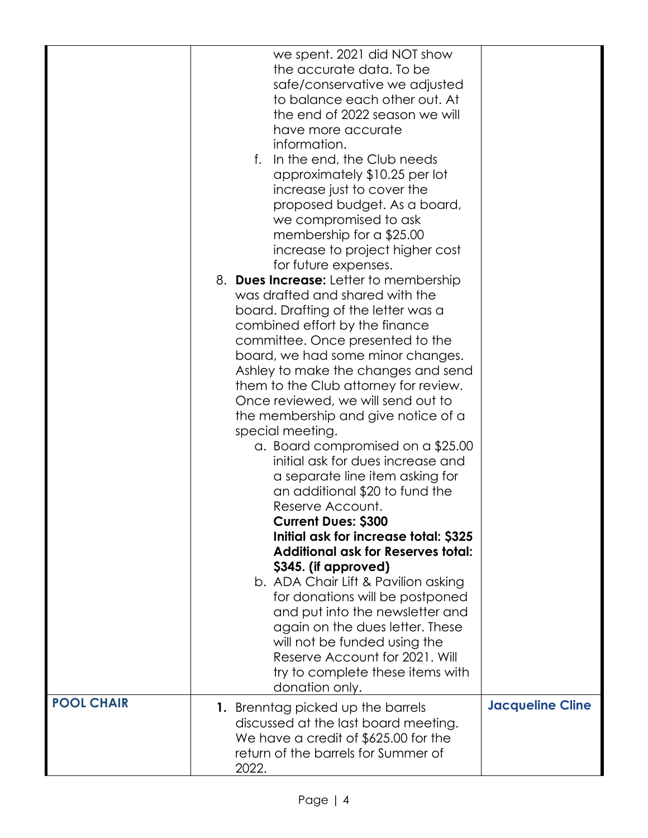|                   | we spent. 2021 did NOT show<br>the accurate data. To be<br>safe/conservative we adjusted<br>to balance each other out. At<br>the end of 2022 season we will<br>have more accurate<br>information.<br>In the end, the Club needs<br>f.<br>approximately \$10.25 per lot<br>increase just to cover the<br>proposed budget. As a board,<br>we compromised to ask<br>membership for a \$25.00<br>increase to project higher cost<br>for future expenses.<br>8. Dues Increase: Letter to membership<br>was drafted and shared with the<br>board. Drafting of the letter was a<br>combined effort by the finance<br>committee. Once presented to the<br>board, we had some minor changes.<br>Ashley to make the changes and send<br>them to the Club attorney for review.<br>Once reviewed, we will send out to<br>the membership and give notice of a<br>special meeting.<br>a. Board compromised on a \$25.00<br>initial ask for dues increase and<br>a separate line item asking for<br>an additional \$20 to fund the<br>Reserve Account.<br><b>Current Dues: \$300</b><br>Initial ask for increase total: \$325<br><b>Additional ask for Reserves total:</b><br>\$345. (if approved)<br>b. ADA Chair Lift & Pavilion asking<br>for donations will be postponed<br>and put into the newsletter and<br>again on the dues letter. These<br>will not be funded using the<br>Reserve Account for 2021, Will<br>try to complete these items with |                         |
|-------------------|-------------------------------------------------------------------------------------------------------------------------------------------------------------------------------------------------------------------------------------------------------------------------------------------------------------------------------------------------------------------------------------------------------------------------------------------------------------------------------------------------------------------------------------------------------------------------------------------------------------------------------------------------------------------------------------------------------------------------------------------------------------------------------------------------------------------------------------------------------------------------------------------------------------------------------------------------------------------------------------------------------------------------------------------------------------------------------------------------------------------------------------------------------------------------------------------------------------------------------------------------------------------------------------------------------------------------------------------------------------------------------------------------------------------------------------------|-------------------------|
| <b>POOL CHAIR</b> | donation only.<br>1. Brenntag picked up the barrels<br>discussed at the last board meeting.<br>We have a credit of \$625.00 for the<br>return of the barrels for Summer of                                                                                                                                                                                                                                                                                                                                                                                                                                                                                                                                                                                                                                                                                                                                                                                                                                                                                                                                                                                                                                                                                                                                                                                                                                                                | <b>Jacqueline Cline</b> |
|                   | 2022.                                                                                                                                                                                                                                                                                                                                                                                                                                                                                                                                                                                                                                                                                                                                                                                                                                                                                                                                                                                                                                                                                                                                                                                                                                                                                                                                                                                                                                     |                         |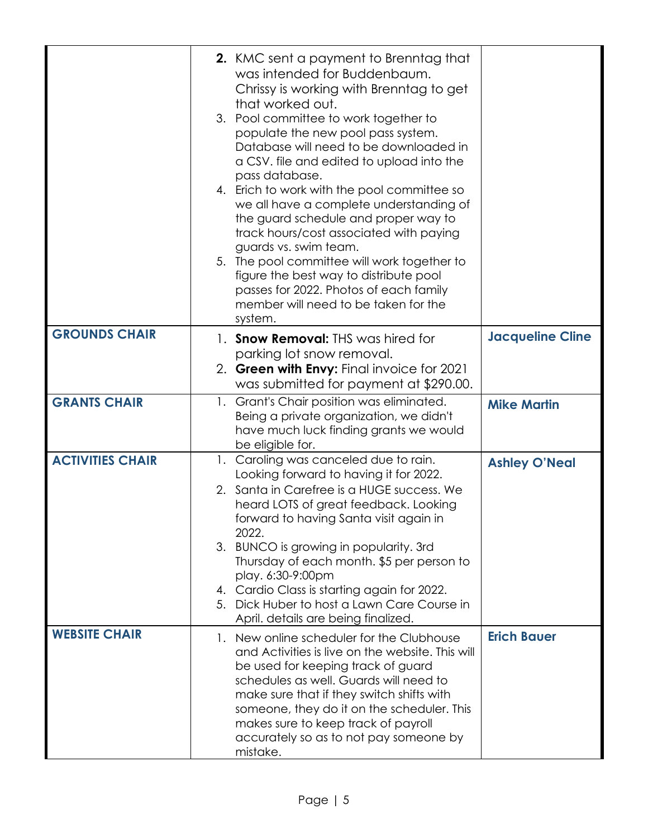|                         | <b>2.</b> KMC sent a payment to Brenntag that<br>was intended for Buddenbaum.<br>Chrissy is working with Brenntag to get<br>that worked out.<br>3. Pool committee to work together to<br>populate the new pool pass system.<br>Database will need to be downloaded in<br>a CSV. file and edited to upload into the<br>pass database.<br>4. Erich to work with the pool committee so<br>we all have a complete understanding of<br>the guard schedule and proper way to<br>track hours/cost associated with paying<br>guards vs. swim team.<br>5. The pool committee will work together to<br>figure the best way to distribute pool<br>passes for 2022. Photos of each family<br>member will need to be taken for the<br>system. |                         |
|-------------------------|----------------------------------------------------------------------------------------------------------------------------------------------------------------------------------------------------------------------------------------------------------------------------------------------------------------------------------------------------------------------------------------------------------------------------------------------------------------------------------------------------------------------------------------------------------------------------------------------------------------------------------------------------------------------------------------------------------------------------------|-------------------------|
| <b>GROUNDS CHAIR</b>    | 1. <b>Snow Removal:</b> THS was hired for                                                                                                                                                                                                                                                                                                                                                                                                                                                                                                                                                                                                                                                                                        | <b>Jacqueline Cline</b> |
|                         | parking lot snow removal.                                                                                                                                                                                                                                                                                                                                                                                                                                                                                                                                                                                                                                                                                                        |                         |
|                         | 2. Green with Envy: Final invoice for 2021                                                                                                                                                                                                                                                                                                                                                                                                                                                                                                                                                                                                                                                                                       |                         |
| <b>GRANTS CHAIR</b>     | was submitted for payment at \$290.00.<br>1. Grant's Chair position was eliminated.                                                                                                                                                                                                                                                                                                                                                                                                                                                                                                                                                                                                                                              |                         |
|                         | Being a private organization, we didn't<br>have much luck finding grants we would<br>be eligible for.                                                                                                                                                                                                                                                                                                                                                                                                                                                                                                                                                                                                                            | <b>Mike Martin</b>      |
| <b>ACTIVITIES CHAIR</b> | 1. Caroling was canceled due to rain.                                                                                                                                                                                                                                                                                                                                                                                                                                                                                                                                                                                                                                                                                            | <b>Ashley O'Neal</b>    |
|                         | Looking forward to having it for 2022.<br>2. Santa in Carefree is a HUGE success. We                                                                                                                                                                                                                                                                                                                                                                                                                                                                                                                                                                                                                                             |                         |
|                         | heard LOTS of great feedback. Looking<br>forward to having Santa visit again in                                                                                                                                                                                                                                                                                                                                                                                                                                                                                                                                                                                                                                                  |                         |
|                         | 2022.<br>3. BUNCO is growing in popularity. 3rd                                                                                                                                                                                                                                                                                                                                                                                                                                                                                                                                                                                                                                                                                  |                         |
|                         | Thursday of each month. \$5 per person to                                                                                                                                                                                                                                                                                                                                                                                                                                                                                                                                                                                                                                                                                        |                         |
|                         | play. 6:30-9:00pm<br>4. Cardio Class is starting again for 2022.                                                                                                                                                                                                                                                                                                                                                                                                                                                                                                                                                                                                                                                                 |                         |
|                         | 5. Dick Huber to host a Lawn Care Course in<br>April. details are being finalized.                                                                                                                                                                                                                                                                                                                                                                                                                                                                                                                                                                                                                                               |                         |
| <b>WEBSITE CHAIR</b>    | 1. New online scheduler for the Clubhouse<br>and Activities is live on the website. This will<br>be used for keeping track of guard<br>schedules as well. Guards will need to<br>make sure that if they switch shifts with<br>someone, they do it on the scheduler. This<br>makes sure to keep track of payroll<br>accurately so as to not pay someone by<br>mistake.                                                                                                                                                                                                                                                                                                                                                            | <b>Erich Bauer</b>      |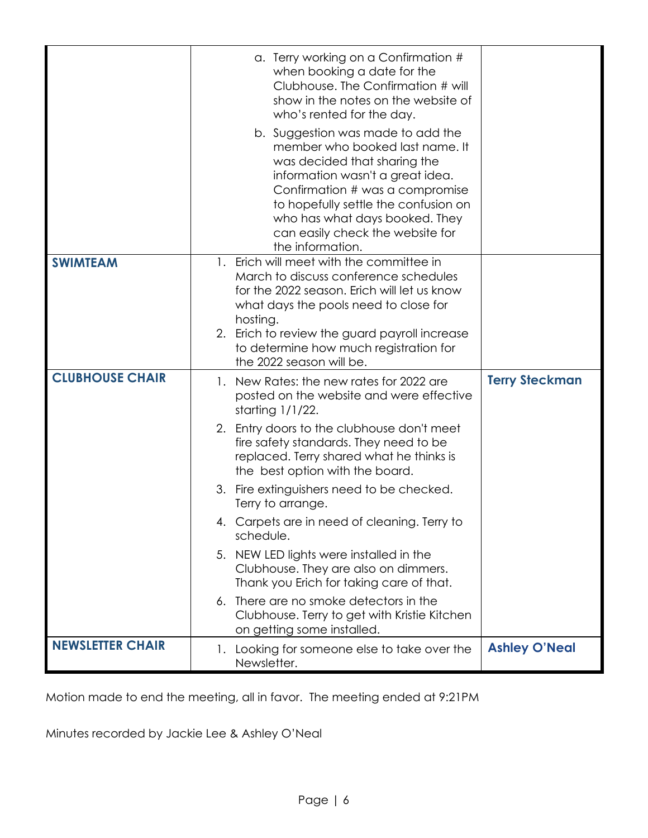|                         | a. Terry working on a Confirmation #<br>when booking a date for the<br>Clubhouse. The Confirmation # will<br>show in the notes on the website of<br>who's rented for the day.<br>b. Suggestion was made to add the<br>member who booked last name. It<br>was decided that sharing the<br>information wasn't a great idea.<br>Confirmation # was a compromise<br>to hopefully settle the confusion on<br>who has what days booked. They<br>can easily check the website for |                       |
|-------------------------|----------------------------------------------------------------------------------------------------------------------------------------------------------------------------------------------------------------------------------------------------------------------------------------------------------------------------------------------------------------------------------------------------------------------------------------------------------------------------|-----------------------|
| <b>SWIMTEAM</b>         | the information.<br>1. Erich will meet with the committee in<br>March to discuss conference schedules<br>for the 2022 season. Erich will let us know<br>what days the pools need to close for<br>hosting.<br>2. Erich to review the guard payroll increase<br>to determine how much registration for<br>the 2022 season will be.                                                                                                                                           |                       |
| <b>CLUBHOUSE CHAIR</b>  | 1. New Rates: the new rates for 2022 are<br>posted on the website and were effective<br>starting 1/1/22.                                                                                                                                                                                                                                                                                                                                                                   | <b>Terry Steckman</b> |
|                         | 2. Entry doors to the clubhouse don't meet<br>fire safety standards. They need to be<br>replaced. Terry shared what he thinks is<br>the best option with the board.                                                                                                                                                                                                                                                                                                        |                       |
|                         | 3. Fire extinguishers need to be checked.<br>Terry to arrange.                                                                                                                                                                                                                                                                                                                                                                                                             |                       |
|                         | 4. Carpets are in need of cleaning. Terry to<br>schedule.                                                                                                                                                                                                                                                                                                                                                                                                                  |                       |
|                         | 5. NEW LED lights were installed in the<br>Clubhouse. They are also on dimmers.<br>Thank you Erich for taking care of that.                                                                                                                                                                                                                                                                                                                                                |                       |
|                         | 6. There are no smoke detectors in the<br>Clubhouse. Terry to get with Kristie Kitchen<br>on getting some installed.                                                                                                                                                                                                                                                                                                                                                       |                       |
| <b>NEWSLETTER CHAIR</b> | 1. Looking for someone else to take over the<br>Newsletter.                                                                                                                                                                                                                                                                                                                                                                                                                | <b>Ashley O'Neal</b>  |

Motion made to end the meeting, all in favor. The meeting ended at 9:21PM

Minutes recorded by Jackie Lee & Ashley O'Neal